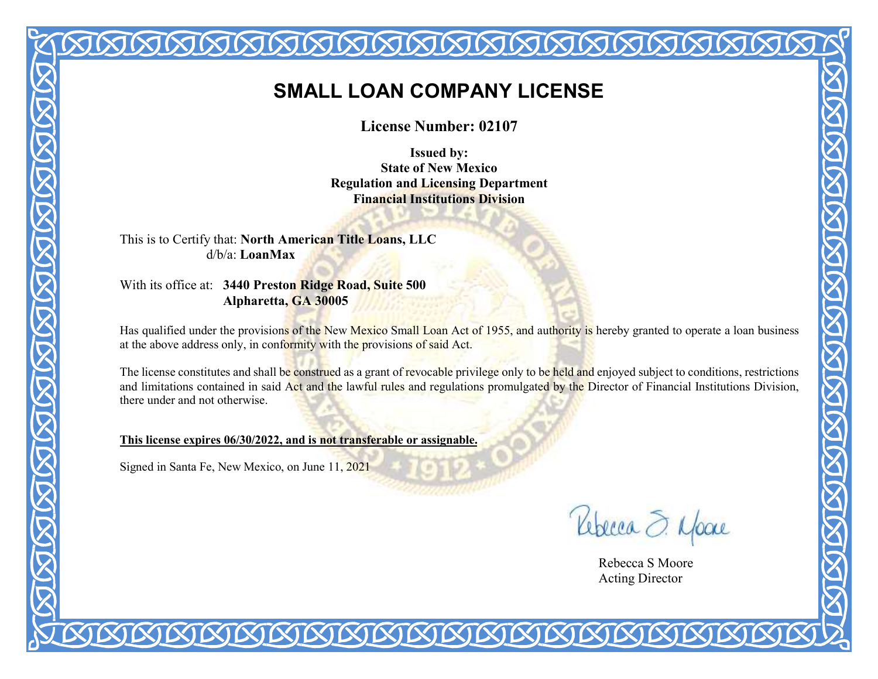## SMALL LOAN COMPANY LICENSE

License Number: 02107

Issued by: State of New Mexico Regulation and Licensing Department Financial Institutions Division

This is to Certify that: North American Title Loans, LLC d/b/a: LoanMax

With its office at: 3440 Preston Ridge Road, Suite 500 Alpharetta, GA 30005

Has qualified under the provisions of the New Mexico Small Loan Act of 1955, and authority is hereby granted to operate a loan business at the above address only, in conformity with the provisions of said Act.

The license constitutes and shall be construed as a grant of revocable privilege only to be held and enjoyed subject to conditions, restrictions and limitations contained in said Act and the lawful rules and regulations promulgated by the Director of Financial Institutions Division, there under and not otherwise.

This license expires 06/30/2022, and is not transferable or assignable.

Signed in Santa Fe, New Mexico, on June 11, 2021

Rebecca O. Maxe

**NANN** 

 Rebecca S Moore Acting Director